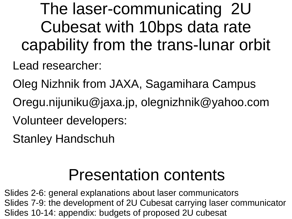The laser-communicating 2U Cubesat with 10bps data rate capability from the trans-lunar orbit

Lead researcher:

Oleg Nizhnik from JAXA, Sagamihara Campus

- Oregu.nijuniku@jaxa.jp, olegnizhnik@yahoo.com
- Volunteer developers:
- Stanley Handschuh

#### Presentation contents

Slides 2-6: general explanations about laser communicators Slides 7-9: the development of 2U Cubesat carrying laser communicator Slides 10-14: appendix: budgets of proposed 2U cubesat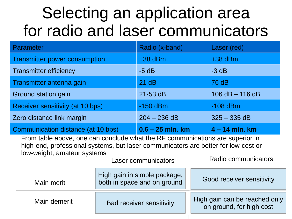#### Selecting an application area for radio and laser communicators

| Parameter                                                                                                                                                                                          |                                                   | Radio (x-band)                                              |                | Laser (red)               |  |  |
|----------------------------------------------------------------------------------------------------------------------------------------------------------------------------------------------------|---------------------------------------------------|-------------------------------------------------------------|----------------|---------------------------|--|--|
|                                                                                                                                                                                                    | <b>Transmitter power consumption</b><br>$+38$ dBm |                                                             |                | $+38$ dBm                 |  |  |
| <b>Transmitter efficiency</b>                                                                                                                                                                      |                                                   |                                                             |                | $-3$ dB                   |  |  |
| Transmitter antenna gain                                                                                                                                                                           |                                                   |                                                             |                | 76 dB                     |  |  |
| Ground station gain                                                                                                                                                                                |                                                   |                                                             |                | $106$ dB $-$ 116 dB       |  |  |
| Receiver sensitivity (at 10 bps)                                                                                                                                                                   | $-150$ dBm                                        |                                                             | $-108$ dBm     |                           |  |  |
| Zero distance link margin                                                                                                                                                                          | $204 - 236$ dB                                    |                                                             | $325 - 335$ dB |                           |  |  |
| Communication distance (at 10 bps)                                                                                                                                                                 |                                                   | $0.6 - 25$ mln. km                                          |                | $4 - 14$ mln. km          |  |  |
| From table above, one can conclude what the RF communications are superior in<br>high-end, professional systems, but laser communicators are better for low-cost or<br>low-weight, amateur systems | Radio communicators                               |                                                             |                |                           |  |  |
| Main merit                                                                                                                                                                                         |                                                   | High gain in simple package,<br>both in space and on ground |                | Good receiver sensitivity |  |  |

Bad receiver sensitivity || High gain can be reached only

Main demerit

on ground, for high cost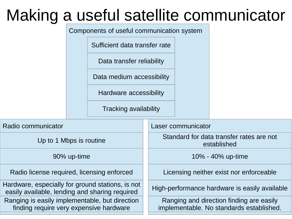#### Making a useful satellite communicator

Components of useful communication system

Sufficient data transfer rate

Data transfer reliability

Data medium accessibility

Hardware accessibility

Tracking availability

| Radio communicator                                                                                 | Laser communicator                                                                   |
|----------------------------------------------------------------------------------------------------|--------------------------------------------------------------------------------------|
| Up to 1 Mbps is routine                                                                            | Standard for data transfer rates are not<br>established                              |
| 90% up-time                                                                                        | 10% - 40% up-time                                                                    |
| Radio license required, licensing enforced                                                         | Licensing neither exist nor enforceable                                              |
| Hardware, especially for ground stations, is not<br>easily available, lending and sharing required | High-performance hardware is easily available                                        |
| Ranging is easily implementable, but direction<br>finding require very expensive hardware          | Ranging and direction finding are easily<br>implementable. No standards established. |
|                                                                                                    |                                                                                      |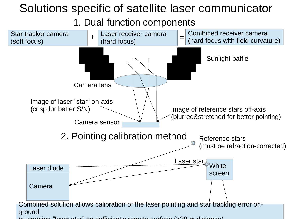#### Solutions specific of satellite laser communicator

1. Dual-function components

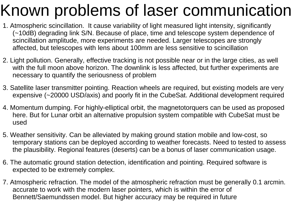# Known problems of laser communication

- 1. Atmospheric scincillation. It cause variability of light measured light intensity, significantly (~10dB) degrading link S/N. Because of place, time and telescope system dependence of scincillation amplitude, more experiments are needed. Larger telescopes are strongly affected, but telescopes with lens about 100mm are less sensitive to scincillation
- 2. Light pollution. Generally, effective tracking is not possible near or in the large cities, as well with the full moon above horizon. The downlink is less affected, but further experiments are necessary to quantify the seriousness of problem
- 3. Satellite laser transmitter pointing. Reaction wheels are required, but existing models are very expensive (~20000 USD/axis) and poorly fit in the CubeSat. Additional development required
- 4. Momentum dumping. For highly-elliptical orbit, the magnetotorquers can be used as proposed here. But for Lunar orbit an alternative propulsion system compatible with CubeSat must be used
- 5. Weather sensitivity. Can be alleviated by making ground station mobile and low-cost, so temporary stations can be deployed according to weather forecasts. Need to tested to assess the plausibility. Regional features (deserts) can be a bonus of laser communication usage.
- 6. The automatic ground station detection, identification and pointing. Required software is expected to be extremely complex.
- 7. Atmospheric refraction. The model of the atmospheric refraction must be generally 0.1 arcmin. accurate to work with the modern laser pointers, which is within the error of Bennett/Saemundssen model. But higher accuracy may be required in future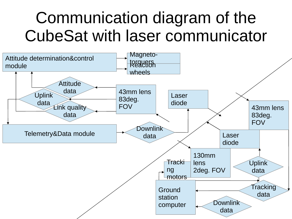#### Communication diagram of the CubeSat with laser communicator

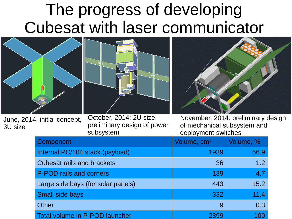#### The progress of developing Cubesat with laser communicator



June, 2014: initial concept, 3U size

October, 2014: 2U size, preliminary design of power subsystem

November, 2014: preliminary design of mechanical subsystem and deployment switches

| Component                          | Volume, cm <sup>3</sup> | Volume, %  |
|------------------------------------|-------------------------|------------|
| Internal PC/104 stack (payload)    | 1939                    | 66.9       |
| <b>Cubesat rails and brackets</b>  | 36                      | 1.2        |
| P-POD rails and corners            | 139                     | 4.7        |
| Large side bays (for solar panels) | 443                     | 15.2       |
| <b>Small side bays</b>             | 332                     | 11.4       |
| <b>Other</b>                       | 9                       | 0.3        |
| Total volume in P-POD launcher     | 2899                    | <b>100</b> |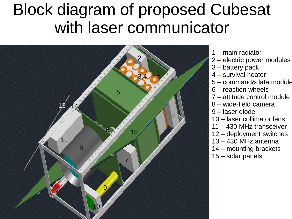#### Block diagram of proposed Cubesat with laser communicator



- 1 main radiator
- 2 electric power modules
- 3 battery pack
- 4 survival heater
- 5 command&data module
- 6 reaction wheels
- 7 attitude control module
- 8 wide-field camera
- 9 laser diode
- 10 laser collimator lens
- 11 430 MHz transceiver
- 12 deployment switches
- 13 430 MHz antenna
- 14 mounting brackets
- 15 solar panels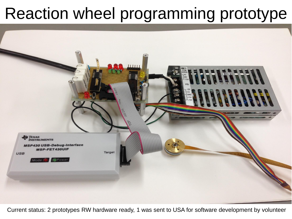### Reaction wheel programming prototype



Current status: 2 prototypes RW hardware ready, 1 was sent to USA for software development by volunteer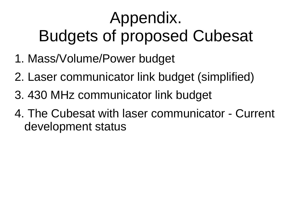# Appendix. Budgets of proposed Cubesat

- 1. Mass/Volume/Power budget
- 2. Laser communicator link budget (simplified)
- 3. 430 MHz communicator link budget
- 4. The Cubesat with laser communicator Current development status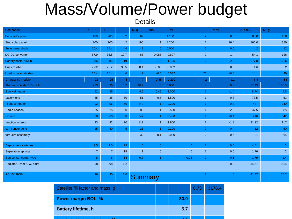#### Mass/Volume/Power budget

**Details** 

| Component                    | $\mathsf{X}$   | Y              | Z.             | m, g           | duty           | P, W           | N              | Pt, W          | Vt, cm3         | Mt, g          |
|------------------------------|----------------|----------------|----------------|----------------|----------------|----------------|----------------|----------------|-----------------|----------------|
| Body solar panel             | 100            | 200            | $\overline{2}$ | 69             | $\overline{0}$ | 4.100          | $\overline{2}$ | 0.0            | 80.0            | 138            |
| Stub solar panel             | 200            | 200            | $\overline{2}$ | 190            | $\mathbf{1}$   | 8.200          | 2 <sup>1</sup> | 16.4           | 160.0           | 380            |
| Solar panel diode            | 10.4           | 15.4           | 4.4            | $\overline{2}$ | $\overline{0}$ | 0.000          | 6 <sup>1</sup> | 0.0            | 4.2             | 12             |
| DC-DC converter              | 57.9           | 36.8           | 12.7           | 63             | $-0.085$       | $-0.697$       | 2 <sup>1</sup> | $-1.4$         | 54.1            | 126            |
| Battery pack (NiMH)          | 86             | 85             | 19             | 618            | $-0.15$        | $-1.125$       | 2 <sup>1</sup> | $-2.3$         | 277.8           | 1236           |
| Bus crossbar                 | 7.62           | 7.12           | 3.65           | 0.4            | $-0.05$        | $-0.002$       | 8              | 0.0            | 1.6             | 3.2            |
| <b>Load isolation diodes</b> | 10.4           | 15.4           | 4.4            | 2 <sup>1</sup> | $-0.6$         | $-0.032$       | 20             | $-0.6$         | 14.1            | 40             |
| Charger IC module            | 22             | 25             | 8              | $\overline{7}$ | 0.45           | $-1.200$       | $\overline{2}$ | $-1.1$         | 8.8             | 14             |
| Thermal shields, 0.2mm Al    | 223            | 96             | 0.2            | 46.2           | $\overline{0}$ | 0.000          | $\overline{4}$ | 0.0            | 17.13           | 185.0          |
| <b>Survival heater</b>       | 92             | 95             | $\mathbf{1}$   | 4.5            | 0.45           | $-3.000$       |                | $-1.4$         | 8.74            | 4.5            |
| Laser+lens                   | 35             | 35             | 60             | 51             | 0.5            | $-1.500$       | $\mathbf{1}$   | $-0.8$         | 73.5            | 51             |
| <b>Flight computer</b>       | 92             | 95             | 50             | 240            | $\mathbf{1}$   | $-0.300$       |                | $-0.3$         | 437             | 240            |
| Radio beacon                 | 25             | 25             | 60             | 85             | $\mathbf{1}$   | $-2.500$       | $\overline{1}$ | $-2.5$         | 37.5            | 85             |
| camera                       | 60             | 60             | 60             | 342            | $\mathbf{1}$   | $-0.400$       |                | $-0.4$         | 216             | 342            |
| reaction wheels              | 33             | 32             | 20             | 117            | $\mathbf{1}$   | $-1.800$       | $\overline{1}$ | $-1.8$         | 21.12           | 117            |
| sun sensor suite             | 15             | 80             | 5 <sup>1</sup> | 25             | 1.             | $-0.200$       | 2 <sup>1</sup> | $-0.4$         | 12 <sub>2</sub> | 50             |
| torquers assembly            |                |                |                | 32             | 0.1            | $-3.000$       | $\overline{2}$ | $-0.6$         | 21              | 64             |
| <b>Deployment switches</b>   | 9.5            | 9.5            | 25             | 1.5            | $\overline{0}$ | $\overline{0}$ | 2 <sup>1</sup> | 0.0            | 4.51            | 3              |
| Separation springs           | $\overline{7}$ | $\overline{7}$ | 18             | $\mathbf{1}$   | $\overline{0}$ | $\overline{0}$ | $\overline{2}$ | 0.0            | 1.76            | 2 <sup>1</sup> |
| Sun sensor corner type       | $\bf 8$        | $\bf{8}$       | 14             | 0.7            | $\mathbf{1}$   | $-0.03$        | 2 <sup>1</sup> | $-0.1$         | 1.79            | 1.4            |
| Radiator, 1mm AI w. paint    | 98             | 98             | 1.2            | $\mathbf{0}$   |                |                | 3              | 0.0            | 34.57           | 93.4           |
| PC/104 PCBs                  | 96             | 90             | 1.6            | <b>Summary</b> |                |                | 3              | $\overline{0}$ | 41.47           | 76.7           |

| Satellite fill factor and mass, g |  |  |  |      | 0.73 | 3176.4 |
|-----------------------------------|--|--|--|------|------|--------|
| <b>Power margin BOL, %</b>        |  |  |  | 30.0 |      |        |
| <b>Battery lifetime, h</b>        |  |  |  | 5.7  |      |        |
|                                   |  |  |  |      |      |        |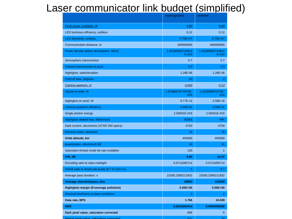#### Laser communicator link budget (simplified)

|                                                    | tracking/uplink           | downlink                    |
|----------------------------------------------------|---------------------------|-----------------------------|
| Peak power available, W                            | 0.83                      | 0.83                        |
| LED luminous effciency, unitless                   | 0.12                      | 0.12                        |
| <b>LED directivity, unitless</b>                   | 3.70E+07                  | 3.70E+07                    |
| Communication distance, m                          | 400000000                 | 400000000                   |
| Power density before atmosphere, W/m2              | 1.83286382734912<br>E-012 | 1.83286382734912<br>$E-012$ |
| Atmospheric transmission                           | 0.7                       | 0.7                         |
| Camera transmission to pixel                       | 0.9                       | 0.9                         |
| Nightglow, watt/steradian                          | 1.28E-06                  | 1.28E-06                    |
| Field of view, degrees                             | 83                        | $\overline{2}$              |
| Camera aperture, m                                 | 0.043                     | 0.13                        |
| Signal on pixel, W                                 | 1.6768667671875E-<br>015  | 1.532668921875E-<br>014     |
| Nightglow on pixel, W                              | 6.77E-14                  | 3.59E-16                    |
| Camera quantum efficiency                          | 3.50E-01                  | 3.50E-01                    |
| Single photon energy                               | 2.55831E-019              | 2.55831E-019                |
| Nightglow related flow, electrons/s                | 92561                     | 491                         |
| Dark current, electrons/s (STAR 250 specs)         | 4750                      | 4750                        |
| Electron noise, electrons                          | 76                        | 76                          |
| Orbit altitude, km                                 | 400000                    | 400000                      |
| quantization, electrons/LSB                        | 35                        | 35                          |
| Saturation-limited mode bit-rate multiplier        | 130                       | 1                           |
| S/N, dB                                            | 9.86                      | 10.37                       |
| Encoding ratio to reject starlight                 | 0.5714285714              | 0.5714285714                |
| Shrink ratio to avoid sub-pixels (0.7 if C32 <= 1) | 1                         | 0.7                         |
| Average pass duration, s                           | 15265.2395211932          | 15265.2395211932            |
| <b>Average downlink/pass, bits</b>                 | 26953                     | 153250                      |
| <b>Nightglow margin (5=average pollution)</b>      | 5.00E+00                  | $5.00E + 00$                |
| Maximal bits/frame at ideal conditions             | 3                         | $\overline{2}$              |
| Data rate, BPS                                     | 1.766                     | 10.039                      |
| <b>BER</b>                                         | 0.0018364414              | 0.0009499369                |
| Dark pixel value, saturation corrected             | 899                       | 5                           |
| Signal nivel value esturation corrected            | 021                       | $20 -$                      |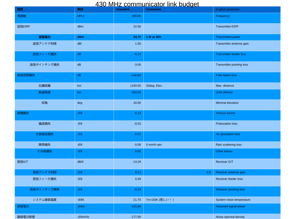#### 430 MHz communicator link budget

| 項目         | 単位                     | <b>Downlink</b> | <u>oo iyina oommuunodigi miin buugot</u><br><b>Comments</b> | English parameter              |
|------------|------------------------|-----------------|-------------------------------------------------------------|--------------------------------|
| 周波数        | MH <sub>z</sub>        | 430.00          |                                                             | Frequency                      |
| 送信EIRP     | dBm                    | 22.56           |                                                             | <b>Transmitter EIRP</b>        |
| 送信電力       | dBm                    | 24.70           | 1 W at 35%                                                  | <b>Transmitted power</b>       |
| 送信アンテナ利得   | dBi                    | 1.00            |                                                             | Transmitter antenna gain       |
| 送信フィーだ損失   | dB                     | $-0.14$         |                                                             | <b>Transmitter feeder loss</b> |
| 送信ポインチング損失 | dB                     | $-3.00$         |                                                             | Transmitter pointing loss      |
| 自由空間損失     | dB                     | $-146.60$       |                                                             | Free space loss                |
| 伝播距離       | km                     | 1193.00         | 20deg. Elev.                                                | Max. distance                  |
| 軌道高度       | km                     | 500.00          |                                                             | Orbit altitude                 |
| 仰角         | deg                    | 20.00           |                                                             | Minimal elevation              |
| 各種損失       | dB                     | $-0.13$         |                                                             | <b>Various losses</b>          |
| 編波損失       | dB                     | $-0.03$         |                                                             | <b>Polarization loss</b>       |
| 大気吸収損失     | dB                     | $-0.02$         |                                                             | Air absorption loss            |
| 降雨損失       | dB                     | $-0.08$         | 5 mm/h rain                                                 | Rain scattering loss           |
| その他損失      | dB                     | 0.00            |                                                             | Other losses                   |
| 受信G/T      | dB/K                   | $-13.29$        |                                                             | Receiver G/T                   |
| 受信アンテナ利得   | $\mathsf d\,\mathsf B$ | 8.21            | 0.9                                                         | Receiver antenna gain          |
| 受信フィーだ損失   | $d\,B$                 | 0.30            |                                                             | Receiver feeder loss           |
| 受信ポインチング損失 | dB                     | $-0.10$         |                                                             | <b>Receiver pointing loss</b>  |
| システム雑音温度   | dBK                    | 21.70           | Tn=150K (怪しい!)                                              | System noise temperature       |
| 受信電力       | dBm                    | $-115.96$       |                                                             | Received signal power          |
| 雑音電力密度     | $d$ Bm/Hz              | $-177.00$       |                                                             | Noise spectral density         |